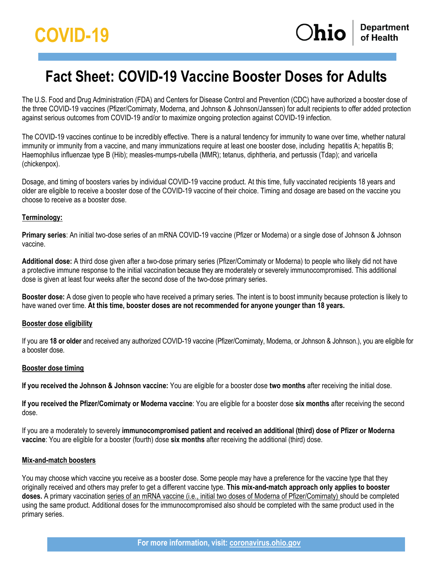# **Fact Sheet: COVID-19 Vaccine Booster Doses for Adults**

The U.S. Food and Drug Administration (FDA) and Centers for Disease Control and Prevention (CDC) have authorized a booster dose of the three COVID-19 vaccines (Pfizer/Comirnaty, Moderna, and Johnson & Johnson/Janssen) for adult recipients to offer added protection against serious outcomes from COVID-19 and/or to maximize ongoing protection against COVID-19 infection.

The COVID-19 vaccines continue to be incredibly effective. There is a natural tendency for immunity to wane over time, whether natural immunity or immunity from a vaccine, and many immunizations require at least one booster dose, including hepatitis A; hepatitis B; Haemophilus influenzae type B (Hib); measles-mumps-rubella (MMR); tetanus, diphtheria, and pertussis (Tdap); and varicella (chickenpox).

Dosage, and timing of boosters varies by individual COVID-19 vaccine product. At this time, fully vaccinated recipients 18 years and older are eligible to receive a booster dose of the COVID-19 vaccine of their choice. Timing and dosage are based on the vaccine you choose to receive as a booster dose.

#### **Terminology:**

**Primary series**: An initial two-dose series of an mRNA COVID-19 vaccine (Pfizer or Moderna) or a single dose of Johnson & Johnson vaccine.

**Additional dose:** A third dose given after a two-dose primary series (Pfizer/Comirnaty or Moderna) to people who likely did not have a protective immune response to the initial vaccination because they are moderately or severely immunocompromised. This additional dose is given at least four weeks after the second dose of the two-dose primary series.

**Booster dose:** A dose given to people who have received a primary series. The intent is to boost immunity because protection is likely to have waned over time. **At this time, booster doses are not recommended for anyone younger than 18 years.**

#### **Booster dose eligibility**

If you are **18 or older** and received any authorized COVID-19 vaccine (Pfizer/Comirnaty, Moderna, or Johnson & Johnson.), you are eligible for a booster dose.

#### **Booster dose timing**

**If you received the Johnson & Johnson vaccine:** You are eligible for a booster dose **two months** after receiving the initial dose.

**If you received the Pfizer/Comirnaty or Moderna vaccine**: You are eligible for a booster dose **six months** after receiving the second dose.

If you are a moderately to severely **immunocompromised patient and received an additional (third) dose of Pfizer or Moderna vaccine**: You are eligible for a booster (fourth) dose **six months** after receiving the additional (third) dose.

#### **Mix-and-match boosters**

You may choose which vaccine you receive as a booster dose. Some people may have a preference for the vaccine type that they originally received and others may prefer to get a different vaccine type. **This mix-and-match approach only applies to booster doses.** A primary vaccination series of an mRNA vaccine (i.e., initial two doses of Moderna of Pfizer/Comirnaty) should be completed using the same product. Additional doses for the immunocompromised also should be completed with the same product used in the primary series.